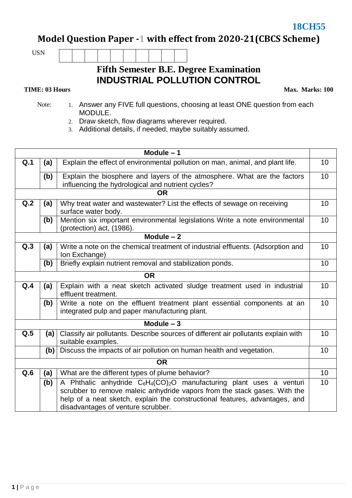**18CH55** 

**Model Question Paper -1 with effect from 2020-21(CBCS Scheme)**

USN

## **Fifth Semester B.E. Degree Examination INDUSTRIAL POLLUTION CONTROL**

## **TIME: 03 Hours**

**Max. Marks: 100**

- Note: 1. Answer any FIVE full questions, choosing at least ONE question from each MODULE.
	- 2. Draw sketch, flow diagrams wherever required.
	- 3. Additional details, if needed, maybe suitably assumed.

| Module $-1$ |                                                                                                       |                                                                                                                                                                                                                                                                                                             |                 |  |  |  |  |
|-------------|-------------------------------------------------------------------------------------------------------|-------------------------------------------------------------------------------------------------------------------------------------------------------------------------------------------------------------------------------------------------------------------------------------------------------------|-----------------|--|--|--|--|
| Q.1         | (a)                                                                                                   | Explain the effect of environmental pollution on man, animal, and plant life.                                                                                                                                                                                                                               |                 |  |  |  |  |
|             | (b)                                                                                                   | Explain the biosphere and layers of the atmosphere. What are the factors<br>influencing the hydrological and nutrient cycles?                                                                                                                                                                               | 10              |  |  |  |  |
|             |                                                                                                       | <b>OR</b>                                                                                                                                                                                                                                                                                                   |                 |  |  |  |  |
| Q.2         | Why treat water and wastewater? List the effects of sewage on receiving<br>(a)<br>surface water body. |                                                                                                                                                                                                                                                                                                             |                 |  |  |  |  |
|             | (b)                                                                                                   | Mention six important environmental legislations Write a note environmental<br>(protection) act, (1986).                                                                                                                                                                                                    | 10              |  |  |  |  |
| Module $-2$ |                                                                                                       |                                                                                                                                                                                                                                                                                                             |                 |  |  |  |  |
| Q.3         | (a)                                                                                                   | Write a note on the chemical treatment of industrial effluents. (Adsorption and<br>Ion Exchange)                                                                                                                                                                                                            | 10              |  |  |  |  |
|             | (b)                                                                                                   | Briefly explain nutrient removal and stabilization ponds.                                                                                                                                                                                                                                                   | 10              |  |  |  |  |
|             |                                                                                                       | <b>OR</b>                                                                                                                                                                                                                                                                                                   |                 |  |  |  |  |
| Q.4         | (a)                                                                                                   | Explain with a neat sketch activated sludge treatment used in industrial<br>effluent treatment.                                                                                                                                                                                                             | 10              |  |  |  |  |
|             | (b)                                                                                                   | Write a note on the effluent treatment plant essential components at an<br>integrated pulp and paper manufacturing plant.                                                                                                                                                                                   | 10              |  |  |  |  |
| Module $-3$ |                                                                                                       |                                                                                                                                                                                                                                                                                                             |                 |  |  |  |  |
| Q.5         | (a)                                                                                                   | Classify air pollutants. Describe sources of different air pollutants explain with<br>suitable examples.                                                                                                                                                                                                    | 10              |  |  |  |  |
|             | (b)                                                                                                   | Discuss the impacts of air pollution on human health and vegetation.                                                                                                                                                                                                                                        | 10              |  |  |  |  |
| <b>OR</b>   |                                                                                                       |                                                                                                                                                                                                                                                                                                             |                 |  |  |  |  |
| Q.6         | (a)                                                                                                   | What are the different types of plume behavior?                                                                                                                                                                                                                                                             | 10              |  |  |  |  |
|             | (b)                                                                                                   | A Phthalic anhydride C <sub>6</sub> H <sub>4</sub> (CO) <sub>2</sub> O manufacturing plant uses a venturi<br>scrubber to remove maleic anhydride vapors from the stack gases. With the<br>help of a neat sketch, explain the constructional features, advantages, and<br>disadvantages of venture scrubber. | 10 <sup>1</sup> |  |  |  |  |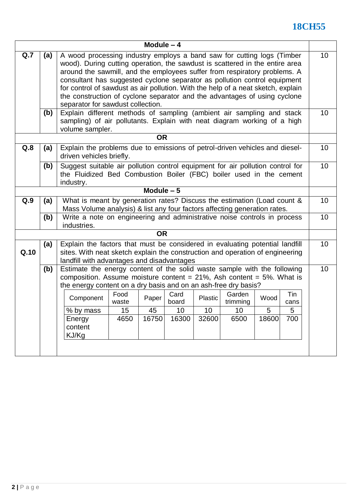## **18CH55**

| Module $-4$ |     |                                                                                                                                                                                                                                                                                                                                                                                                                                                                                                                        |               |             |               |         |                    |       |             |    |
|-------------|-----|------------------------------------------------------------------------------------------------------------------------------------------------------------------------------------------------------------------------------------------------------------------------------------------------------------------------------------------------------------------------------------------------------------------------------------------------------------------------------------------------------------------------|---------------|-------------|---------------|---------|--------------------|-------|-------------|----|
| Q.7         | (a) | A wood processing industry employs a band saw for cutting logs (Timber<br>wood). During cutting operation, the sawdust is scattered in the entire area<br>around the sawmill, and the employees suffer from respiratory problems. A<br>consultant has suggested cyclone separator as pollution control equipment<br>for control of sawdust as air pollution. With the help of a neat sketch, explain<br>the construction of cyclone separator and the advantages of using cyclone<br>separator for sawdust collection. |               |             |               |         |                    |       | 10          |    |
|             | (b) | Explain different methods of sampling (ambient air sampling and stack<br>sampling) of air pollutants. Explain with neat diagram working of a high<br>volume sampler.                                                                                                                                                                                                                                                                                                                                                   |               |             |               |         |                    |       |             | 10 |
| <b>OR</b>   |     |                                                                                                                                                                                                                                                                                                                                                                                                                                                                                                                        |               |             |               |         |                    |       |             |    |
| Q.8         | (a) | Explain the problems due to emissions of petrol-driven vehicles and diesel-<br>driven vehicles briefly.                                                                                                                                                                                                                                                                                                                                                                                                                |               |             |               |         |                    | 10    |             |    |
|             | (b) | Suggest suitable air pollution control equipment for air pollution control for<br>the Fluidized Bed Combustion Boiler (FBC) boiler used in the cement<br>industry.                                                                                                                                                                                                                                                                                                                                                     |               |             |               |         |                    |       | 10          |    |
|             |     |                                                                                                                                                                                                                                                                                                                                                                                                                                                                                                                        |               | Module $-5$ |               |         |                    |       |             |    |
| Q.9         | (a) | What is meant by generation rates? Discuss the estimation (Load count &<br>Mass Volume analysis) & list any four factors affecting generation rates.                                                                                                                                                                                                                                                                                                                                                                   |               |             |               |         |                    |       | 10          |    |
|             | (b) | Write a note on engineering and administrative noise controls in process<br>industries.                                                                                                                                                                                                                                                                                                                                                                                                                                |               |             |               |         |                    |       | 10          |    |
|             |     |                                                                                                                                                                                                                                                                                                                                                                                                                                                                                                                        |               | <b>OR</b>   |               |         |                    |       |             |    |
| Q.10        | (a) | Explain the factors that must be considered in evaluating potential landfill<br>sites. With neat sketch explain the construction and operation of engineering<br>landfill with advantages and disadvantages                                                                                                                                                                                                                                                                                                            |               |             |               |         |                    | 10    |             |    |
|             | (b) | Estimate the energy content of the solid waste sample with the following<br>composition. Assume moisture content = $21\%$ , Ash content = $5\%$ . What is<br>the energy content on a dry basis and on an ash-free dry basis?                                                                                                                                                                                                                                                                                           |               |             |               |         |                    | 10    |             |    |
|             |     | Component                                                                                                                                                                                                                                                                                                                                                                                                                                                                                                              | Food<br>waste | Paper       | Card<br>board | Plastic | Garden<br>trimming | Wood  | Tin<br>cans |    |
|             |     | % by mass                                                                                                                                                                                                                                                                                                                                                                                                                                                                                                              | 15            | 45          | 10            | 10      | 10                 | 5     | 5           |    |
|             |     | Energy<br>content<br>KJ/Kg                                                                                                                                                                                                                                                                                                                                                                                                                                                                                             | 4650          | 16750       | 16300         | 32600   | 6500               | 18600 | 700         |    |
|             |     |                                                                                                                                                                                                                                                                                                                                                                                                                                                                                                                        |               |             |               |         |                    |       |             |    |